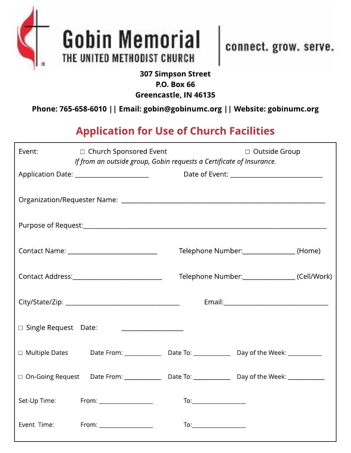



connect. grow. serve.

## 307 Simpson Street P.O. Box 66 Greencastle, IN 46135

Phone: 765-658-6010 | | Email: gobin@gobinumc.org | | Website: gobinumc.org

## Application for Use of Church Facilities

| Event:                                      | □ Church Sponsored Event<br>If from an outside group, Gobin requests a Certificate of Insurance.    |                                        | □ Outside Group               |  |
|---------------------------------------------|-----------------------------------------------------------------------------------------------------|----------------------------------------|-------------------------------|--|
|                                             | Application Date: _________________________                                                         |                                        |                               |  |
|                                             |                                                                                                     |                                        |                               |  |
|                                             |                                                                                                     |                                        |                               |  |
| Contact Name: _____________________________ |                                                                                                     | Telephone Number:_______________(Home) |                               |  |
|                                             | Contact Address:_________________________________                                                   |                                        | Telephone Number: (Cell/Work) |  |
|                                             |                                                                                                     |                                        |                               |  |
| $\Box$ Single Request Date:                 | <u> 1990 - Johann Barbara, martin a</u>                                                             |                                        |                               |  |
| $\Box$ Multiple Dates                       |                                                                                                     |                                        |                               |  |
|                                             | □ On-Going Request Date From: ______________ Date To: ______________ Day of the Week: _____________ |                                        |                               |  |
| Set-Up Time:                                | $From: ____________$                                                                                |                                        |                               |  |
| Event Time:                                 | From: __________________                                                                            |                                        |                               |  |